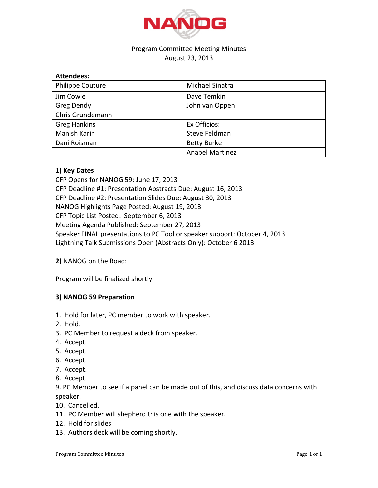

## Program Committee Meeting Minutes August 23, 2013

| <b>Attendees:</b>       |                        |
|-------------------------|------------------------|
| <b>Philippe Couture</b> | Michael Sinatra        |
| Jim Cowie               | Dave Temkin            |
| Greg Dendy              | John van Oppen         |
| Chris Grundemann        |                        |
| <b>Greg Hankins</b>     | Ex Officios:           |
| Manish Karir            | Steve Feldman          |
| Dani Roisman            | <b>Betty Burke</b>     |
|                         | <b>Anabel Martinez</b> |

## **1) Key Dates**

CFP Opens for NANOG 59: June 17, 2013 CFP Deadline #1: Presentation Abstracts Due: August 16, 2013 CFP Deadline #2: Presentation Slides Due: August 30, 2013 NANOG Highlights Page Posted: August 19, 2013 CFP Topic List Posted: September 6, 2013 Meeting Agenda Published: September 27, 2013 Speaker FINAL presentations to PC Tool or speaker support: October 4, 2013 Lightning Talk Submissions Open (Abstracts Only): October 6 2013

## **2) NANOG on the Road:**

Program will be finalized shortly.

## **3) NANOG 59 Preparation**

- 1. Hold for later, PC member to work with speaker.
- 2. Hold.
- 3. PC Member to request a deck from speaker.
- 4. Accept.
- 5. Accept.
- 6. Accept.
- 7. Accept.
- 8. Accept.

9. PC Member to see if a panel can be made out of this, and discuss data concerns with speaker.

- 10. Cancelled.
- 11. PC Member will shepherd this one with the speaker.
- 12. Hold for slides
- 13. Authors deck will be coming shortly.